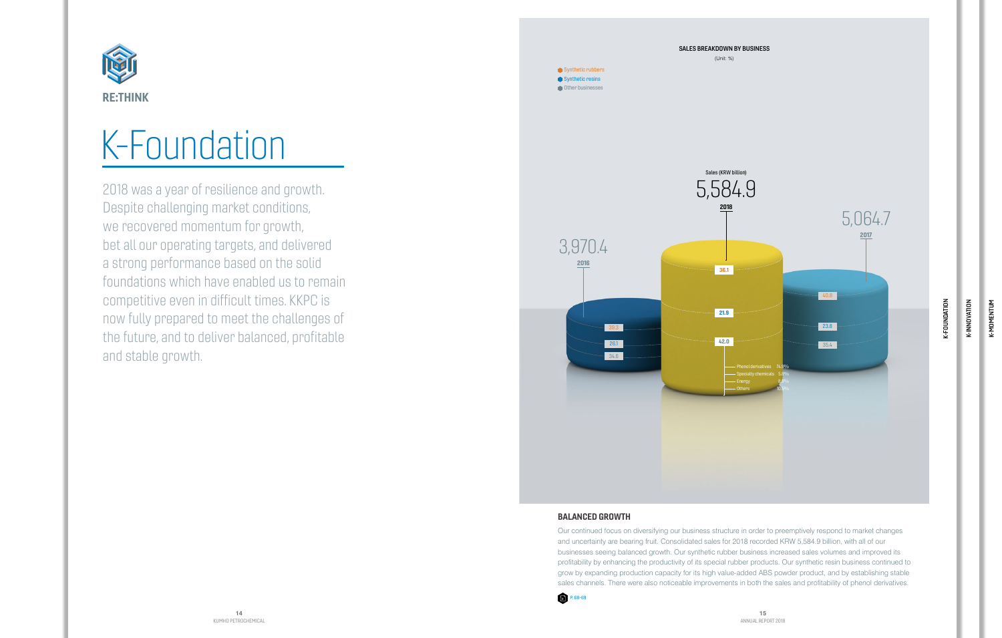## K-Foundation

2018 was a year of resilience and growth. Despite challenging market conditions, we recovered momentum for growth, bet all our operating targets, and delivered a strong performance based on the solid foundations which have enabled us to remain competitive even in difficult times. KKPC is now fully prepared to meet the challenges of the future, and to deliver balanced, profitable and stable growth.

k-momentum K-MOMENTUM

K-INNOVATION

K-INNOVATION





## BALANCED GROWTH

Our continued focus on diversifying our business structure in order to preemptively respond to market changes and uncertainty are bearing fruit. Consolidated sales for 2018 recorded KRW 5,584.9 billion, with all of our businesses seeing balanced growth. Our synthetic rubber business increased sales volumes and improved its profitability by enhancing the productivity of its special rubber products. Our synthetic resin business continued to grow by expanding production capacity for its high value-added ABS powder product, and by establishing stable sales channels. There were also noticeable improvements in both the sales and profitability of phenol derivatives.